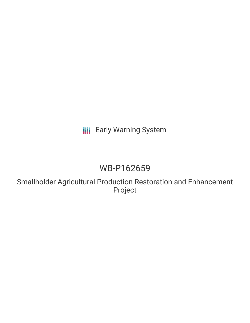# **III** Early Warning System

# WB-P162659

Smallholder Agricultural Production Restoration and Enhancement Project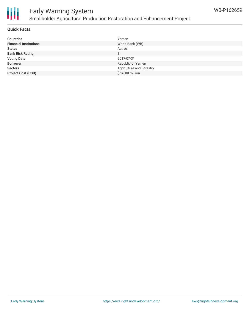

## Early Warning System Smallholder Agricultural Production Restoration and Enhancement Project

### **Quick Facts**

| <b>Countries</b>              | Yemen                    |
|-------------------------------|--------------------------|
| <b>Financial Institutions</b> | World Bank (WB)          |
| <b>Status</b>                 | Active                   |
| <b>Bank Risk Rating</b>       | B                        |
| <b>Voting Date</b>            | 2017-07-31               |
| <b>Borrower</b>               | Republic of Yemen        |
| <b>Sectors</b>                | Agriculture and Forestry |
| <b>Project Cost (USD)</b>     | \$36.00 million          |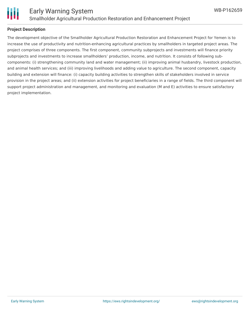

### **Project Description**

The development objective of the Smallholder Agricultural Production Restoration and Enhancement Project for Yemen is to increase the use of productivity and nutrition-enhancing agricultural practices by smallholders in targeted project areas. The project comprises of three components. The first component, community subprojects and investments will finance priority subprojects and investments to increase smallholders' production, income, and nutrition. It consists of following subcomponents: (i) strengthening community land and water management; (ii) improving animal husbandry, livestock production, and animal health services; and (iii) improving livelihoods and adding value to agriculture. The second component, capacity building and extension will finance: (i) capacity building activities to strengthen skills of stakeholders involved in service provision in the project areas; and (ii) extension activities for project beneficiaries in a range of fields. The third component will support project administration and management, and monitoring and evaluation (M and E) activities to ensure satisfactory project implementation.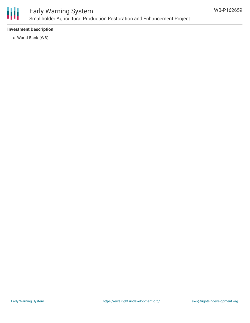

## Early Warning System Smallholder Agricultural Production Restoration and Enhancement Project

### **Investment Description**

World Bank (WB)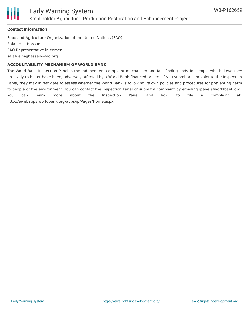

#### **Contact Information**

Food and Agriculture Organization of the United Nations (FAO) Salah Hajj Hassan FAO Representative in Yemen salah.elhajjhassan@fao.org

#### **ACCOUNTABILITY MECHANISM OF WORLD BANK**

The World Bank Inspection Panel is the independent complaint mechanism and fact-finding body for people who believe they are likely to be, or have been, adversely affected by a World Bank-financed project. If you submit a complaint to the Inspection Panel, they may investigate to assess whether the World Bank is following its own policies and procedures for preventing harm to people or the environment. You can contact the Inspection Panel or submit a complaint by emailing ipanel@worldbank.org. You can learn more about the Inspection Panel and how to file a complaint at: http://ewebapps.worldbank.org/apps/ip/Pages/Home.aspx.